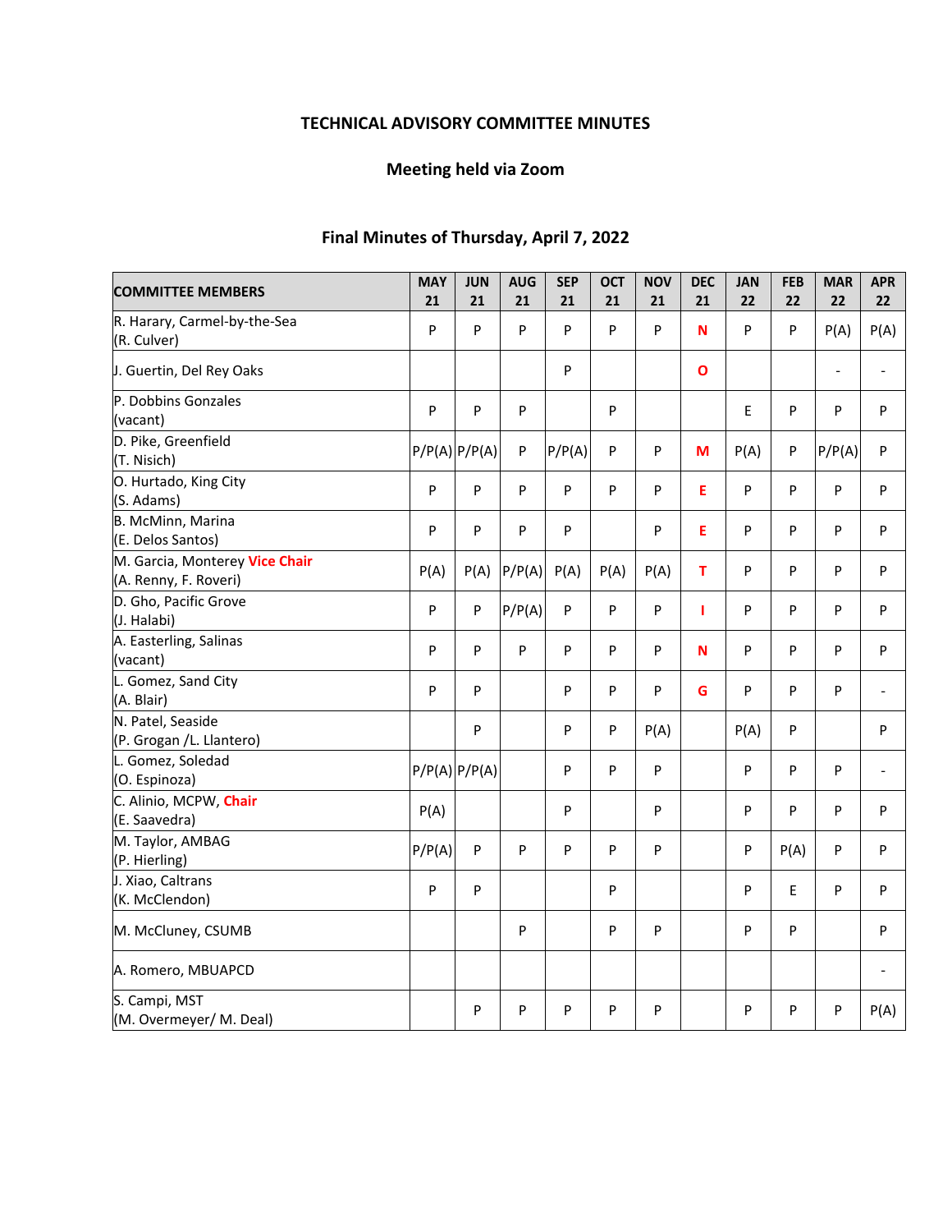# **TECHNICAL ADVISORY COMMITTEE MINUTES**

# **Meeting held via Zoom**

# **Final Minutes of Thursday, April 7, 2022**

| <b>COMMITTEE MEMBERS</b>                                | <b>MAY</b><br>21 | <b>JUN</b><br>21  | <b>AUG</b><br>21 | <b>SEP</b><br>21 | <b>OCT</b><br>21 | <b>NOV</b><br>21 | <b>DEC</b><br>21 | <b>JAN</b><br>22 | <b>FEB</b><br>22 | <b>MAR</b><br>22 | <b>APR</b><br>22         |
|---------------------------------------------------------|------------------|-------------------|------------------|------------------|------------------|------------------|------------------|------------------|------------------|------------------|--------------------------|
| R. Harary, Carmel-by-the-Sea<br>(R. Culver)             | P                | $\sf P$           | $\sf P$          | P                | $\mathsf{P}$     | P                | N                | P                | P                | P(A)             | P(A)                     |
| J. Guertin, Del Rey Oaks                                |                  |                   |                  | P                |                  |                  | $\mathbf{o}$     |                  |                  | $\blacksquare$   | $\blacksquare$           |
| P. Dobbins Gonzales<br>(vacant)                         | P                | P                 | P                |                  | ${\sf P}$        |                  |                  | E                | P                | P                | P                        |
| D. Pike, Greenfield<br>(T. Nisich)                      |                  | $P/P(A)$ $P/P(A)$ | $\sf P$          | P/P(A)           | ${\sf P}$        | P                | M                | P(A)             | P                | P/P(A)           | ${\sf P}$                |
| O. Hurtado, King City<br>(S. Adams)                     | P                | P                 | P                | P                | P                | P                | E                | P                | P                | P                | P                        |
| B. McMinn, Marina<br>(E. Delos Santos)                  | P                | P                 | P                | P                |                  | P                | E                | P                | P                | P                | P                        |
| M. Garcia, Monterey Vice Chair<br>(A. Renny, F. Roveri) | P(A)             | P(A)              | P/P(A)           | P(A)             | P(A)             | P(A)             | T                | P                | P                | P                | P                        |
| D. Gho, Pacific Grove<br>(J. Halabi)                    | P                | $\mathsf{P}$      | P/P(A)           | P                | P                | P                | T                | P                | P                | P                | P                        |
| A. Easterling, Salinas<br>(vacant)                      | P                | P                 | P                | P                | P                | P                | N                | P                | P                | P                | P                        |
| L. Gomez, Sand City<br>(A. Blair)                       | P                | P                 |                  | P                | P                | P                | G                | P                | P                | P                | $\overline{\phantom{a}}$ |
| N. Patel, Seaside<br>(P. Grogan /L. Llantero)           |                  | P                 |                  | P                | P                | P(A)             |                  | P(A)             | P                |                  | P                        |
| L. Gomez, Soledad<br>(O. Espinoza)                      |                  | $P/P(A)$ $P/P(A)$ |                  | P                | P                | P                |                  | P                | P                | P                | $\overline{\phantom{a}}$ |
| C. Alinio, MCPW, Chair<br>(E. Saavedra)                 | P(A)             |                   |                  | P                |                  | P                |                  | P                | P                | P                | P                        |
| M. Taylor, AMBAG<br>(P. Hierling)                       | P/P(A)           | P                 | P                | P                | P                | $\sf P$          |                  | P                | P(A)             | P                | P                        |
| J. Xiao, Caltrans<br>(K. McClendon)                     | P                | P                 |                  |                  | ${\sf P}$        |                  |                  | P                | E                | P                | P                        |
| M. McCluney, CSUMB                                      |                  |                   | P                |                  | ${\sf P}$        | P                |                  | P                | P                |                  | P                        |
| A. Romero, MBUAPCD                                      |                  |                   |                  |                  |                  |                  |                  |                  |                  |                  |                          |
| S. Campi, MST<br>(M. Overmeyer/ M. Deal)                |                  | P                 | P                | P                | P                | P                |                  | P                | P                | P                | P(A)                     |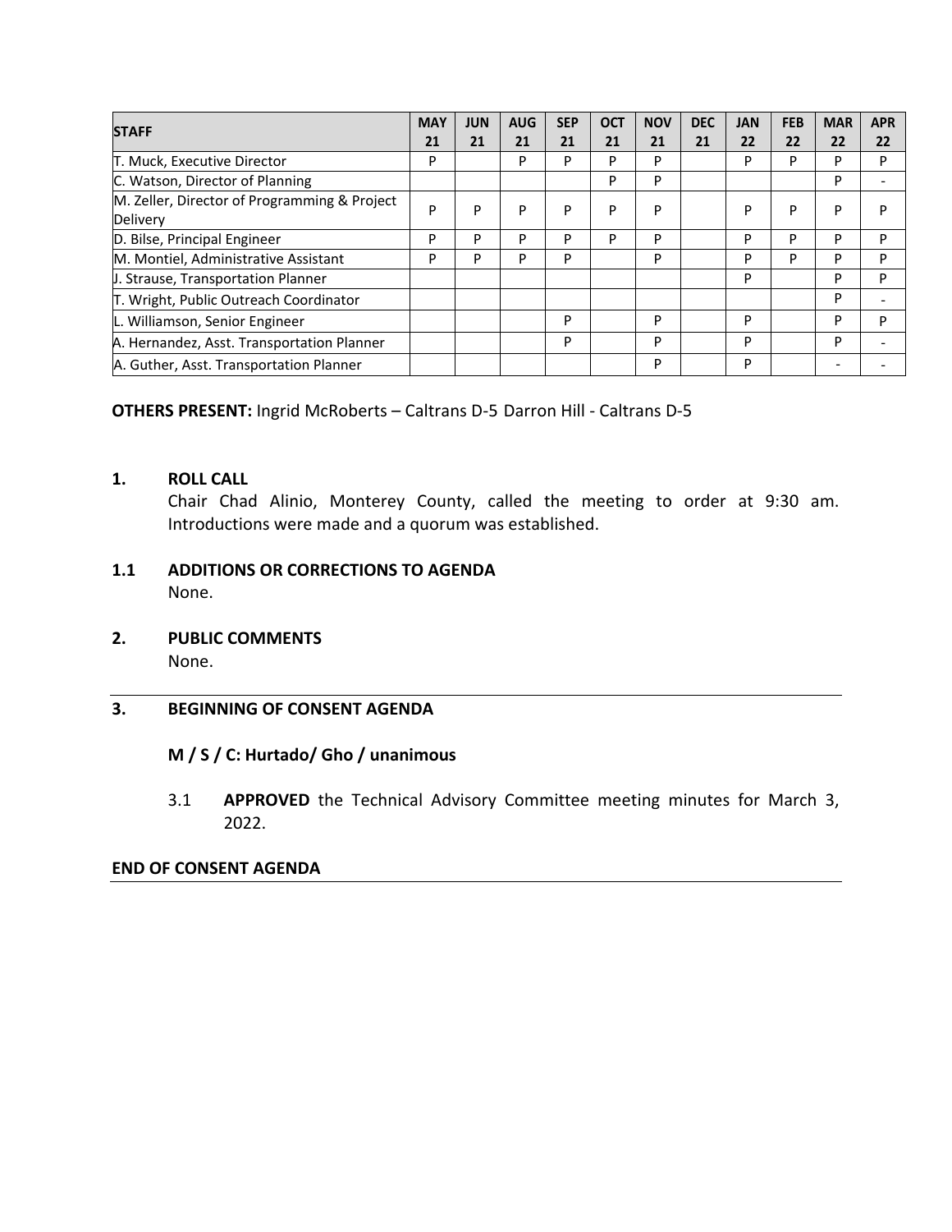| <b>STAFF</b>                                 | <b>MAY</b> | <b>JUN</b> | <b>AUG</b> | <b>SEP</b> | <b>OCT</b> | <b>NOV</b> | <b>DEC</b> | <b>JAN</b> | <b>FEB</b> | <b>MAR</b> | <b>APR</b> |
|----------------------------------------------|------------|------------|------------|------------|------------|------------|------------|------------|------------|------------|------------|
|                                              | 21         | 21         | 21         | 21         | 21         | 21         | 21         | 22         | 22         | 22         | 22         |
| T. Muck, Executive Director                  | P          |            | P          | P          | P          | P          |            | P          | P          | P          | P          |
| C. Watson, Director of Planning              |            |            |            |            | P          | P          |            |            |            | P          |            |
| M. Zeller, Director of Programming & Project | P          | P          | P          | P          | P          | P          |            | P          | P          | P          | P          |
| Delivery                                     |            |            |            |            |            |            |            |            |            |            |            |
| D. Bilse, Principal Engineer                 | P          | P          | P          | P          | P          | P          |            | P          | P          | P          | P          |
| M. Montiel, Administrative Assistant         | P          | P          | P          | P          |            | P          |            | P          | P          | P          | P          |
| <b>J. Strause, Transportation Planner</b>    |            |            |            |            |            |            |            | P          |            | P          | P          |
| T. Wright, Public Outreach Coordinator       |            |            |            |            |            |            |            |            |            | P          |            |
| L. Williamson, Senior Engineer               |            |            |            | P          |            | P          |            | P          |            | P          | P          |
| A. Hernandez, Asst. Transportation Planner   |            |            |            | P          |            | P          |            | P          |            | P          |            |
| A. Guther, Asst. Transportation Planner      |            |            |            |            |            | P          |            | P          |            |            |            |

**OTHERS PRESENT:** Ingrid McRoberts – Caltrans D‐5 Darron Hill ‐ Caltrans D‐5

### **1. ROLL CALL**

Chair Chad Alinio, Monterey County, called the meeting to order at 9:30 am. Introductions were made and a quorum was established.

### **1.1 ADDITIONS OR CORRECTIONS TO AGENDA**  None.

**2. PUBLIC COMMENTS** 

None.

### **3. BEGINNING OF CONSENT AGENDA**

### **M / S / C: Hurtado/ Gho / unanimous**

3.1 **APPROVED**  the Technical Advisory Committee meeting minutes for March 3, 2022.

#### **END OF CONSENT AGENDA**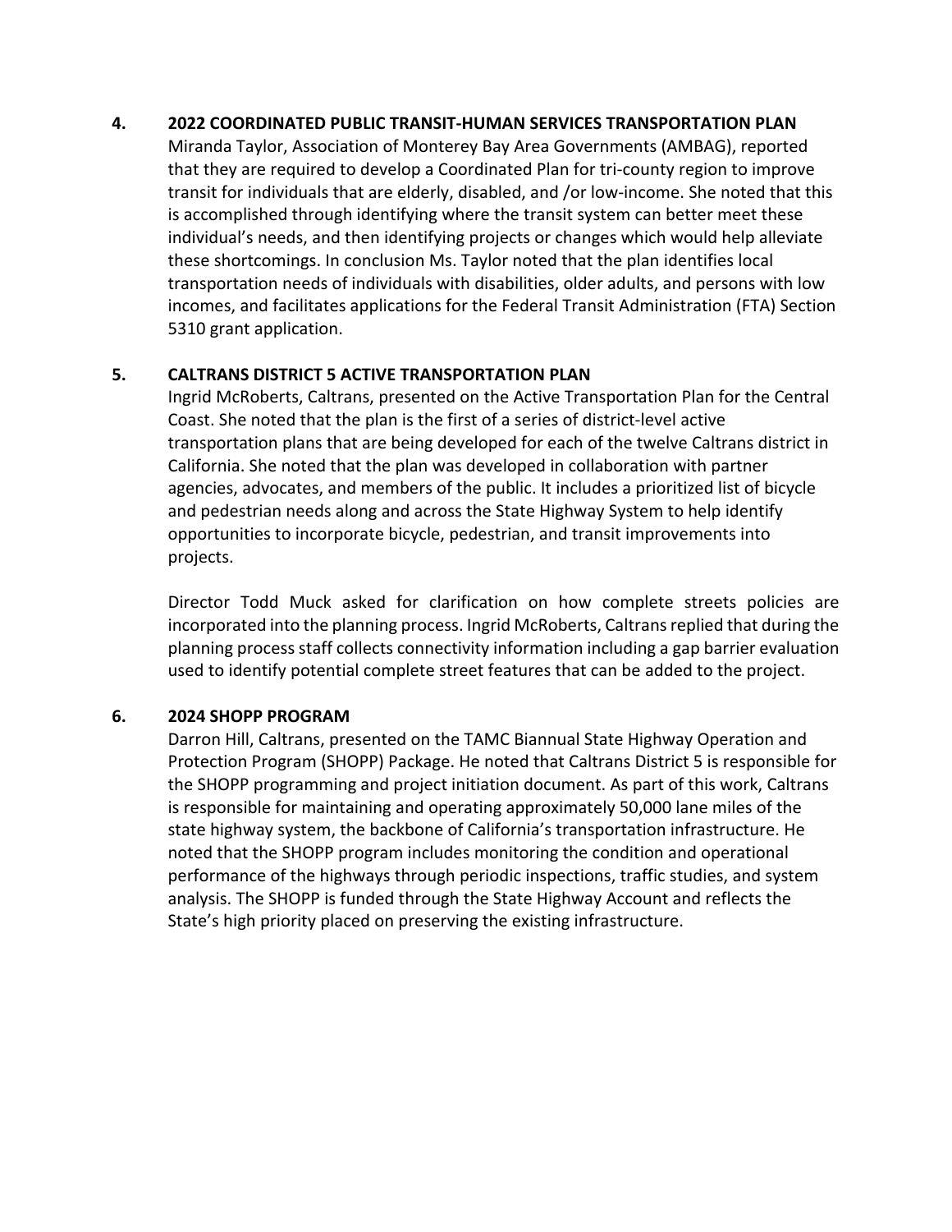### **4. 2022 COORDINATED PUBLIC TRANSIT‐HUMAN SERVICES TRANSPORTATION PLAN**

Miranda Taylor, Association of Monterey Bay Area Governments (AMBAG), reported that they are required to develop a Coordinated Plan for tri‐county region to improve transit for individuals that are elderly, disabled, and /or low‐income. She noted that this is accomplished through identifying where the transit system can better meet these individual's needs, and then identifying projects or changes which would help alleviate these shortcomings. In conclusion Ms. Taylor noted that the plan identifies local transportation needs of individuals with disabilities, older adults, and persons with low incomes, and facilitates applications for the Federal Transit Administration (FTA) Section 5310 grant application.

# **5. CALTRANS DISTRICT 5 ACTIVE TRANSPORTATION PLAN**

Ingrid McRoberts, Caltrans, presented on the Active Transportation Plan for the Central Coast. She noted that the plan is the first of a series of district‐level active transportation plans that are being developed for each of the twelve Caltrans district in California. She noted that the plan was developed in collaboration with partner agencies, advocates, and members of the public. It includes a prioritized list of bicycle and pedestrian needs along and across the State Highway System to help identify opportunities to incorporate bicycle, pedestrian, and transit improvements into projects.

Director Todd Muck asked for clarification on how complete streets policies are incorporated into the planning process. Ingrid McRoberts, Caltrans replied that during the planning process staff collects connectivity information including a gap barrier evaluation used to identify potential complete street features that can be added to the project.

### **6. 2024 SHOPP PROGRAM**

Darron Hill, Caltrans, presented on the TAMC Biannual State Highway Operation and Protection Program (SHOPP) Package. He noted that Caltrans District 5 is responsible for the SHOPP programming and project initiation document. As part of this work, Caltrans is responsible for maintaining and operating approximately 50,000 lane miles of the state highway system, the backbone of California's transportation infrastructure. He noted that the SHOPP program includes monitoring the condition and operational performance of the highways through periodic inspections, traffic studies, and system analysis. The SHOPP is funded through the State Highway Account and reflects the State's high priority placed on preserving the existing infrastructure.